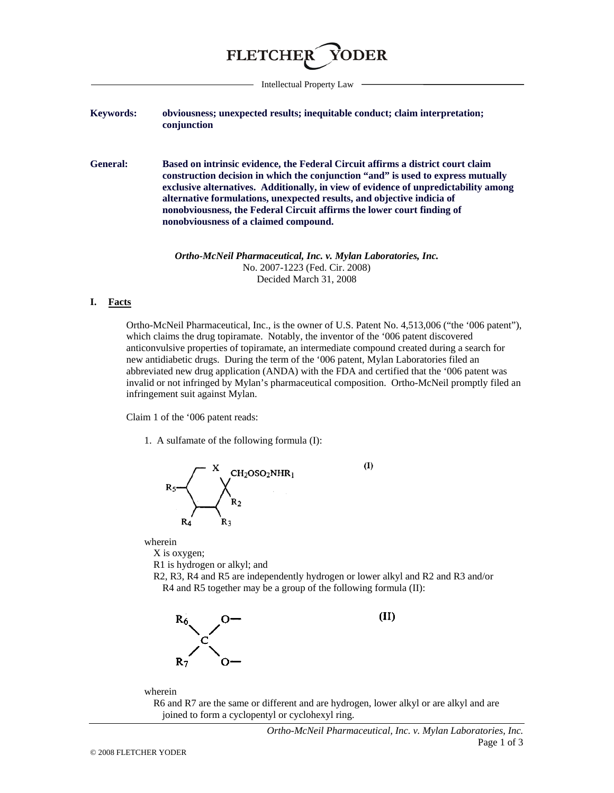

Intellectual Property Law

## **Keywords: obviousness; unexpected results; inequitable conduct; claim interpretation; conjunction**

**General: Based on intrinsic evidence, the Federal Circuit affirms a district court claim construction decision in which the conjunction "and" is used to express mutually exclusive alternatives. Additionally, in view of evidence of unpredictability among alternative formulations, unexpected results, and objective indicia of nonobviousness, the Federal Circuit affirms the lower court finding of nonobviousness of a claimed compound.** 

> *Ortho-McNeil Pharmaceutical, Inc. v. Mylan Laboratories, Inc.* No. 2007-1223 (Fed. Cir. 2008) Decided March 31, 2008

## **I. Facts**

Ortho-McNeil Pharmaceutical, Inc., is the owner of U.S. Patent No. 4,513,006 ("the '006 patent"), which claims the drug topiramate. Notably, the inventor of the '006 patent discovered anticonvulsive properties of topiramate, an intermediate compound created during a search for new antidiabetic drugs. During the term of the '006 patent, Mylan Laboratories filed an abbreviated new drug application (ANDA) with the FDA and certified that the '006 patent was invalid or not infringed by Mylan's pharmaceutical composition. Ortho-McNeil promptly filed an infringement suit against Mylan.

Claim 1 of the '006 patent reads:

1. A sulfamate of the following formula (I):



wherein

X is oxygen;

R1 is hydrogen or alkyl; and

R2, R3, R4 and R5 are independently hydrogen or lower alkyl and R2 and R3 and/or R4 and R5 together may be a group of the following formula (II):



 $(II)$ 

 $(I)$ 

wherein

R6 and R7 are the same or different and are hydrogen, lower alkyl or are alkyl and are joined to form a cyclopentyl or cyclohexyl ring.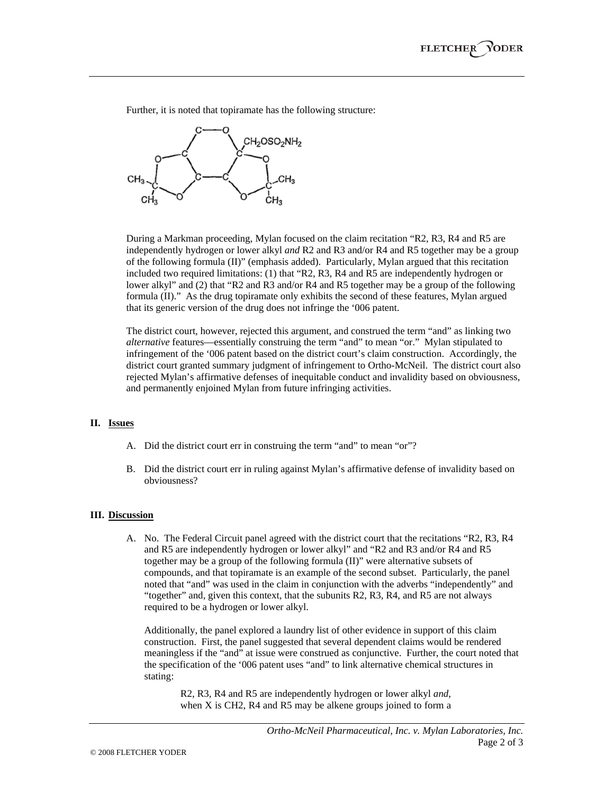Further, it is noted that topiramate has the following structure:



During a Markman proceeding, Mylan focused on the claim recitation "R2, R3, R4 and R5 are independently hydrogen or lower alkyl *and* R2 and R3 and/or R4 and R5 together may be a group of the following formula (II)" (emphasis added). Particularly, Mylan argued that this recitation included two required limitations: (1) that "R2, R3, R4 and R5 are independently hydrogen or lower alkyl" and (2) that "R2 and R3 and/or R4 and R5 together may be a group of the following formula (II)." As the drug topiramate only exhibits the second of these features, Mylan argued that its generic version of the drug does not infringe the '006 patent.

The district court, however, rejected this argument, and construed the term "and" as linking two *alternative* features—essentially construing the term "and" to mean "or." Mylan stipulated to infringement of the '006 patent based on the district court's claim construction. Accordingly, the district court granted summary judgment of infringement to Ortho-McNeil. The district court also rejected Mylan's affirmative defenses of inequitable conduct and invalidity based on obviousness, and permanently enjoined Mylan from future infringing activities.

## **II. Issues**

- A. Did the district court err in construing the term "and" to mean "or"?
- B. Did the district court err in ruling against Mylan's affirmative defense of invalidity based on obviousness?

## **III. Discussion**

A. No. The Federal Circuit panel agreed with the district court that the recitations "R2, R3, R4 and R5 are independently hydrogen or lower alkyl" and "R2 and R3 and/or R4 and R5 together may be a group of the following formula (II)" were alternative subsets of compounds, and that topiramate is an example of the second subset. Particularly, the panel noted that "and" was used in the claim in conjunction with the adverbs "independently" and "together" and, given this context, that the subunits R2, R3, R4, and R5 are not always required to be a hydrogen or lower alkyl.

 Additionally, the panel explored a laundry list of other evidence in support of this claim construction. First, the panel suggested that several dependent claims would be rendered meaningless if the "and" at issue were construed as conjunctive. Further, the court noted that the specification of the '006 patent uses "and" to link alternative chemical structures in stating:

R2, R3, R4 and R5 are independently hydrogen or lower alkyl *and*, when X is CH2, R4 and R5 may be alkene groups joined to form a